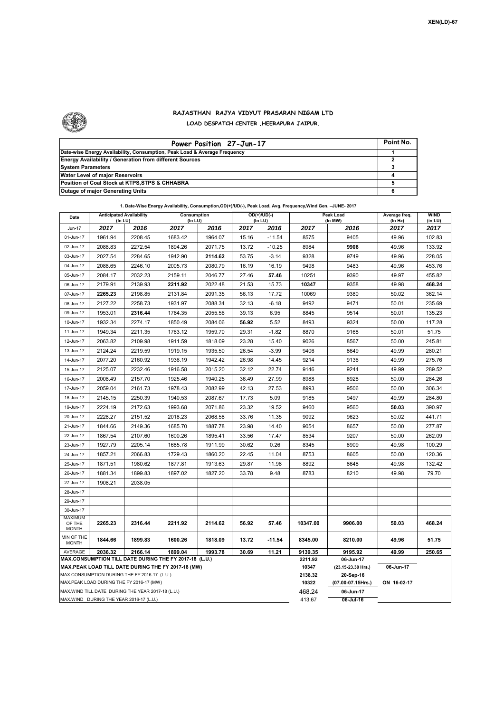

## **RAJASTHAN RAJYA VIDYUT PRASARAN NIGAM LTD LOAD DESPATCH CENTER ,HEERAPURA JAIPUR.**

| Power Position 27-Jun-17                                                  | Point No. |
|---------------------------------------------------------------------------|-----------|
| Date-wise Energy Availability, Consumption, Peak Load & Average Frequency |           |
| <b>Energy Availability / Generation from different Sources</b>            |           |
| <b>System Parameters</b>                                                  |           |
| Water Level of major Reservoirs                                           |           |
| Position of Coal Stock at KTPS, STPS & CHHABRA                            |           |
| <b>Outage of major Generating Units</b>                                   |           |

## **1. Date-Wise Energy Availability, Consumption,OD(+)/UD(-), Peak Load, Avg. Frequency,Wind Gen. –JUNE- 2017**

| Date                       | <b>Anticipated Availability</b><br>(In LU)         |         | Consumption<br>(In LU)                                 |         | $($ In LU $)$    | OD(+)/UD(-)                     |             | Peak Load<br>(In MW) |       | WIND<br>(in LU) |
|----------------------------|----------------------------------------------------|---------|--------------------------------------------------------|---------|------------------|---------------------------------|-------------|----------------------|-------|-----------------|
| Jun-17                     | 2017                                               | 2016    | 2017                                                   | 2016    | 2017             | 2016                            | 2017        | 2016                 | 2017  | 2017            |
| 01-Jun-17                  | 1961.94                                            | 2208.45 | 1683.42                                                | 1964.07 | 15.16            | $-11.54$                        | 8575        | 9405                 | 49.96 | 102.83          |
| 02-Jun-17                  | 2088.83                                            | 2272.54 | 1894.26                                                | 2071.75 | 13.72            | $-10.25$                        | 8984        | 9906                 | 49.96 | 133.92          |
| 03-Jun-17                  | 2027.54                                            | 2284.65 | 1942.90                                                | 2114.62 | 53.75            | $-3.14$                         | 9328        | 9749                 | 49.96 | 228.05          |
| 04-Jun-17                  | 2088.65                                            | 2246.10 | 2005.73                                                | 2080.79 | 16.19            | 16.19                           | 9498        | 9483                 | 49.96 | 453.76          |
| 05-Jun-17                  | 2084.17                                            | 2032.23 | 2159.11                                                | 2046.77 | 27.46            | 57.46                           | 10251       | 9390                 | 49.97 | 455.82          |
| 06-Jun-17                  | 2179.91                                            | 2139.93 | 2211.92                                                | 2022.48 | 21.53            | 15.73                           | 10347       | 9358                 | 49.98 | 468.24          |
| 07-Jun-17                  | 2265.23                                            | 2198.85 | 2131.84                                                | 2091.35 | 56.13            | 17.72                           | 10069       | 9380                 | 50.02 | 362.14          |
| 08-Jun-17                  | 2127.22                                            | 2258.73 | 1931.97                                                | 2088.34 | 32.13            | $-6.18$                         | 9492        | 9471                 | 50.01 | 235.69          |
| 09-Jun-17                  | 1953.01                                            | 2316.44 | 1784.35                                                | 2055.56 | 39.13            | 6.95                            | 8845        | 9514                 | 50.01 | 135.23          |
| 10-Jun-17                  | 1932.34                                            | 2274.17 | 1850.49                                                | 2084.06 | 56.92            | 5.52                            | 8493        | 9324                 | 50.00 | 117.28          |
| 11-Jun-17                  | 1949.34                                            | 2211.35 | 1763.12                                                | 1959.70 | 29.31            | $-1.82$                         | 8870        | 9168                 | 50.01 | 51.75           |
| 12-Jun-17                  | 2063.82                                            | 2109.98 | 1911.59                                                | 1818.09 | 23.28            | 15.40                           | 9026        | 8567                 | 50.00 | 245.81          |
| 13-Jun-17                  | 2124.24                                            | 2219.59 | 1919.15                                                | 1935.50 | 26.54            | $-3.99$                         | 9406        | 8649                 | 49.99 | 280.21          |
| 14-Jun-17                  | 2077.20                                            | 2160.92 | 1936.19                                                | 1942.42 | 26.98            | 14.45                           | 9214        | 9136                 | 49.99 | 275.76          |
| 15-Jun-17                  | 2125.07                                            | 2232.46 | 1916.58                                                | 2015.20 | 32.12            | 22.74                           | 9146        | 9244                 | 49.99 | 289.52          |
| 16-Jun-17                  | 2008.49                                            | 2157.70 | 1925.46                                                | 1940.25 | 36.49            | 27.99                           | 8988        | 8928                 | 50.00 | 284.26          |
| 17-Jun-17                  | 2059.04                                            | 2161.73 | 1978.43                                                | 2082.99 | 42.13            | 27.53                           | 8993        | 9506                 | 50.00 | 306.34          |
| 18-Jun-17                  | 2145.15                                            | 2250.39 | 1940.53                                                | 2087.67 | 17.73            | 5.09                            | 9185        | 9497                 | 49.99 | 284.80          |
| 19-Jun-17                  | 2224.19                                            | 2172.63 | 1993.68                                                | 2071.86 | 23.32            | 19.52                           | 9460        | 9560                 | 50.03 | 390.97          |
| 20-Jun-17                  | 2228.27                                            | 2151.52 | 2018.23                                                | 2068.58 | 33.76            | 11.35                           | 9092        | 9623                 | 50.02 | 441.71          |
| 21-Jun-17                  | 1844.66                                            | 2149.36 | 1685.70                                                | 1887.78 | 23.98            | 14.40                           | 9054        | 8657                 | 50.00 | 277.87          |
| 22-Jun-17                  | 1867.54                                            | 2107.60 | 1600.26                                                | 1895.41 | 33.56            | 17.47                           | 8534        | 9207                 | 50.00 | 262.09          |
| 23-Jun-17                  | 1927.79                                            | 2205.14 | 1685.78                                                | 1911.99 | 30.62            | 0.26                            | 8345        | 8909                 | 49.98 | 100.29          |
| 24-Jun-17                  | 1857.21                                            | 2066.83 | 1729.43                                                | 1860.20 | 22.45            | 11.04                           | 8753        | 8605                 | 50.00 | 120.36          |
| 25-Jun-17                  | 1871.51                                            | 1980.62 | 1877.81                                                | 1913.63 | 29.87            | 11.98                           | 8892        | 8648                 | 49.98 | 132.42          |
| 26-Jun-17                  | 1881.34                                            | 1899.83 | 1897.02                                                | 1827.20 | 33.78            | 9.48                            | 8783        | 8210                 | 49.98 | 79.70           |
| 27-Jun-17                  | 1908.21                                            | 2038.05 |                                                        |         |                  |                                 |             |                      |       |                 |
| 28-Jun-17                  |                                                    |         |                                                        |         |                  |                                 |             |                      |       |                 |
| 29-Jun-17                  |                                                    |         |                                                        |         |                  |                                 |             |                      |       |                 |
| 30-Jun-17                  |                                                    |         |                                                        |         |                  |                                 |             |                      |       |                 |
| <b>MAXIMUM</b><br>OF THE   | 2265.23                                            | 2316.44 | 2211.92                                                | 2114.62 | 56.92            | 57.46                           | 10347.00    | 9906.00              | 50.03 | 468.24          |
| <b>MONTH</b>               |                                                    |         |                                                        |         |                  |                                 |             |                      |       |                 |
| MIN OF THE<br><b>MONTH</b> | 1844.66                                            | 1899.83 | 1600.26                                                | 1818.09 | 13.72            | $-11.54$                        | 8345.00     | 8210.00              | 49.96 | 51.75           |
| AVERAGE                    | 2036.32                                            | 2166.14 | 1899.04                                                | 1993.78 | 30.69            | 11.21                           | 9139.35     | 9195.92              | 49.99 | 250.65          |
|                            |                                                    |         | MAX.CONSUMPTION TILL DATE DURING THE FY 2017-18 (L.U.) |         | 2211.92          | 06-Jun-17                       |             |                      |       |                 |
|                            | MAX.CONSUMPTION DURING THE FY 2016-17 (L.U.)       |         | MAX.PEAK LOAD TILL DATE DURING THE FY 2017-18 (MW)     |         | 10347<br>2138.32 | (23.15-23.30 Hrs.)<br>20-Sep-16 | 06-Jun-17   |                      |       |                 |
|                            | MAX.PEAK LOAD DURING THE FY 2016-17 (MW)           |         |                                                        |         | 10322            | (07.00-07.15Hrs.)               | ON 16-02-17 |                      |       |                 |
|                            | MAX. WIND TILL DATE DURING THE YEAR 2017-18 (L.U.) |         |                                                        |         |                  |                                 | 468.24      | 06-Jun-17            |       |                 |
|                            | MAX.WIND DURING THE YEAR 2016-17 (L.U.)            |         |                                                        | 413.67  | 06-Jul-16        |                                 |             |                      |       |                 |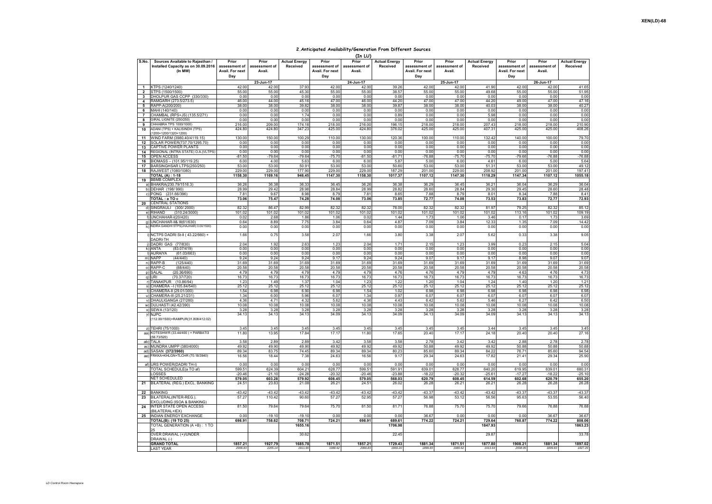## **2.Anticipated Availability/Generation From Different Sources**

|                         |                                                  |                 |               |                      |                 | (In LU)       |                      |                 |               |                      |                 |               |                      |
|-------------------------|--------------------------------------------------|-----------------|---------------|----------------------|-----------------|---------------|----------------------|-----------------|---------------|----------------------|-----------------|---------------|----------------------|
| S.No.                   | Sources Available to Rajasthan /                 | Prior           | Prior         | <b>Actual Energy</b> | Prior           | Prior         | <b>Actual Energy</b> | Prior           | Prior         | <b>Actual Energy</b> | Prior           | Prior         | <b>Actual Energy</b> |
|                         | Installed Capacity as on 30.09.2016              | assessment of   | assessment of | Received             | assessment of   | assessment of | Received             | assessment of   | assessment of | Received             | assessment of   | assessment of | Received             |
|                         | (In MW)                                          | Avail. For next | <b>Avail</b>  |                      | Avail. For next | Avail.        |                      | Avail. For next | Avail         |                      | Avail. For next | Avail.        |                      |
|                         |                                                  | Dav             |               |                      | Dav             |               |                      | Day             |               |                      | Dav             |               |                      |
|                         |                                                  |                 |               |                      |                 |               |                      |                 |               |                      |                 |               |                      |
|                         |                                                  |                 | 23-Jun-17     |                      |                 | 24-Jun-17     |                      |                 | 25-Jun-17     |                      |                 | 26-Jun-17     |                      |
|                         | KTPS (1240/1240)                                 | 42.00           | 42.00         | 37.93                | 42.00           | 42.00         | 39.26                | 42.00           | 42.00         | 41.90                | 42.00           | 42.00         | 41.65                |
| $\overline{\mathbf{2}}$ | STPS (1500/1500)                                 | 55.00           | 55.00         | 45.30                | 55.00           | 55.00         | 38.57                | 55.00           | 55.00         | 49.68                | 55.00           | 55.00         | 51.95                |
| 3                       | DHOLPUR GAS CCPP (330/330)                       | 0.00            | 0.00          | 0.00                 | 0.00            | 0.00          | 0.00                 | 0.00            | 0.00          | 0.00                 | 0.00            | 0.00          | 0.00                 |
| 4                       | RAMGARH (273.5/273.5)                            | 46.00           | 44.00         | 45.16                | 47.00           | 46.00         | 44.20                | 47.00           | 47.00         | 44.20                | 49.00           | 47.00         | 47.16                |
| 5                       | RAPP-A(200/200)                                  | 38.00           | 38.00         | 39.82                | 38.00           | 38.00         | 39.87                | 38.00           | 38.00         | 40.03                | 38.00           | 38.00         | 40.27                |
| 6                       | MAHI (140/140)                                   | 0.00            | 0.00          | 0.00                 | 0.00            | 0.00          | 0.00                 | 0.00            | 0.00          | 0.00                 | 0.00            | 0.00          | 0.00                 |
| $\overline{7}$          | CHAMBAL (RPS+JS) (135.5/271)                     | 0.00            | 0.00          | 1.74                 | 0.00            | 0.00          | 0.89                 | 0.00            | 0.00          | 5.98                 | 0.00            | 0.00          | 0.00                 |
| 8                       | SIRAL LIGNITE (250/250)                          | 0.00            | 0.00          | 0.00                 | 0.00            | 0.00          | 0.00                 | 0.00            | 0.00          | 0.00                 | 0.00            | 0.00          | 0.00                 |
| 9                       | HHABRA TPS 1000/1000)                            | 216.00          | 209.00        | 174.18               | 218.00          | 216.00        | 196.15               | 218.00          | 218.00        | 207.43               | 218.00          | 218.00        | 210.90               |
| 10                      | ADANI (TPS) + KALISINDH (TPS)                    | 424.80          | 424.80        | 347.23               | 425.00          | 424.80        | 376.02               | 425.00          | 425.00        | 407.31               | 425.00          | 425.00        | 408.26               |
|                         | (200+1200/1320+1200)                             | 130.00          | 150.00        | 100.29               | 110.00          | 130.00        | 120.36               | 100.00          | 110.00        | 132.42               | 140.00          | 100.00        | 79.70                |
| 11<br>12                | WIND FARM (3980.40/4119.15)                      |                 |               |                      |                 |               |                      |                 |               |                      |                 |               |                      |
|                         | SOLAR POWER(737.70/1295.70)                      | 0.00            | 0.00          | 0.00                 | 0.00            | 0.00          | 0.00                 | 0.00            | 0.00          | 0.00                 | 0.00            | 0.00          | 0.00                 |
| 13                      | CAPTIVE POWER PLANTS                             | 0.00            | 0.00          | 0.00                 | 0.00            | 0.00          | 0.00                 | 0.00            | 0.00          | 0.00                 | 0.00            | 0.00          | 0.00                 |
| 14                      | REGIONAL (INTRA STATE) O.A. (VLTPS)              | 0.00            | 0.00          | 0.00                 | 0.00            | 0.00          | 0.00                 | 0.00            | 0.00          | 0.00                 | 0.00            | 0.00          | 0.00                 |
| 15                      | OPEN ACCESS                                      | $-81.50$        | -79.64        | $-79.64$             | $-75.70$        | $-81.50$      | $-81.71$             | $-76.88$        | $-75.70$      | $-75.70$             | $-79.66$        | $-76.88$      | $-76.88$             |
| 16                      | BIOMASS - (101.95/119.25)                        | 6.00            | 4.00          | 5.63                 | 6.00            | 6.00          | 5.87                 | 5.00            | 6.00          | 4.81                 | 6.00            | 5.00          | 5.64                 |
| 17                      | BARSINGHSAR LTPS(250/250)                        | 53.00           | 53.00         | 50.91                | 53.00           | 53.00         | 50.60                | 53.00           | 53.00         | 51.31                | 53.00           | 53.00         | 49.12                |
| 18                      | RAJWEST (1080/1080)                              | 229.00          | 229.00        | 177.90               | 229.00          | 229.00        | 187.29               | 201.00          | 229.00        | 208.92               | 201.00          | 201.00        | 197.41               |
|                         | <b>TOTAL (A): 1-18</b>                           | 1158.30         | 1169.16       | 946.45               | 1147.30         | 1158.30       | 1017.37              | 1107.12         | 1147.30       | 1118.29              | 1147.34         | 1107.12       | 1055.18              |
| 19                      | <b>BBMB COMPLEX</b>                              |                 |               |                      |                 |               |                      |                 |               |                      |                 |               |                      |
|                         | a) BHAKRA(230.79/1516.3)                         | 36.26           | 36.38         | 36.33                | 36.45           | 36.26         | 36.38                | 36.29           | 36.45         | 36.21                | 36.04           | 36.29         | 36.04                |
|                         | b) DEHAR (198/990)                               | 28.99           | 29.42         | 28.98                | 28.84           | 28.99         | 28.82                | 28.60           | 28.84         | 29.30                | 29.45           | 28.60         | 28.48                |
|                         | c) PONG (231.66/396                              | 7.81            | 9.67          | 8.98                 | 8.79            | 7.81          | 8.65                 | 7.88            | 8.79          | 8.01                 | 8.34            | 7.88          | 8.41                 |
|                         | TOTAL: a TO c                                    | 73.06           | 75.47         | 74.28                | 74.08           | 73.06         | 73.85                | 72.77           | 74.08         | 73.53                | 73.83           | 72.77         | 72.93                |
| 20                      | <b>CENTRAL STATIONS</b>                          |                 |               |                      |                 |               |                      |                 |               |                      |                 |               |                      |
|                         | d) SINGRAULI (300/2000)                          | 82.32           | 86.47         | 82.99                | 82.32           | 82.32         | 78.00                | 82.32           | 82.32         | 81.97                | 79.25           | 82.32         | 85.12                |
|                         | e) RIHAND<br>(310.24/3000)                       | 101.02          | 101.02        | 101.02               | 101.02          | 101.02        | 101.02               | 101.02          | 101.02        | 101.02               | 113.16          | 101.02        | 109.19               |
|                         | f) UNCHAHAR-I(20/420)                            | 0.02            | 2.68          | 1.86                 | 1.06            | 0.02          | 1.44                 | 1.73            | 1.06          | 3.46                 | 0.17            | 1.73          | 3.69                 |
|                         | g) UNCHAHAR-II& III(61/630)                      | 0.64            | 8.89          | 7.75                 | 3.84            | 0.64          | 4.87                 | 7.09            | 3.84          | 12.33                | 1.35            | 7.09          | 14.42                |
| h)                      | INDIRA GANDHI STPS(JHAJHAR) 0.00/1500)           | 0.00            | 0.00          | 0.00                 | 0.00            | 0.00          | 0.00                 | 0.00            | 0.00          | 0.00                 | 0.00            | 0.00          | 0.00                 |
|                         | i) NCTPS DADRI St-II (43.22/980) +               | 1.66            | 0.75          | 3.58                 | 2.07            | 1.66          | 3.80                 | 3.38            | 2.07          | 5.62                 | 0.33            | 3.38          | 9.05                 |
|                         | DADRI-TH                                         |                 |               |                      |                 |               |                      |                 |               |                      |                 |               |                      |
|                         | DADRI GAS (77/830)                               | 2.04            | 1.92          | 2.63                 | 1.23            | 2.04          | 1.71                 | 2.15            | 1.23          | 3.99                 | 0.23            | 2.15          | 5.04                 |
|                         | (83.07/419)<br>k) ANTA                           | 0.00            | 0.00          | 0.00                 | 0.00            | 0.00          | 0.00                 | 0.00            | 0.00          | 0.00                 | 0.00            | 0.00          | 0.00                 |
|                         | I) AURAIYA<br>(61.03/663)                        | 0.00            | 0.00          | 0.00                 | 0.00            | 0.00          | 0.00                 | 0.00            | 0.00          | 0.00                 | 0.00            | 0.00          | 0.00                 |
|                         | m) NAPP<br>(44/440)                              | 9.24            | 9.24          | 9.24                 | 9.17            | 9.24          | 9.24                 | 9.07            | 9.17          | 9.17                 | 8.98            | 9.07          | 9.07                 |
|                         | n) RAPP-B<br>(125/440)                           | 31.69           | 31.69         | 31.69                | 31.69           | 31.69         | 31.69                | 31.69           | 31.69         | 31.69                | 31.69           | 31.69         | 31.69                |
|                         | o) RAPP-C<br>(88/440)                            | 20.58           | 20.58         | 20.58                | 20.58           | 20.58         | 20.58                | 20.58           | 20.58         | 20.58                | 20.58           | 20.58         | 20.58                |
|                         | (20.36/690)<br>p) SALAL                          | 4.79            | 4.79          | 4.79                 | 4.79            | 4.79          | 4.76                 | 4.76            | 4.79          | 4.79                 | 4.63            | 4.76          | 4.73                 |
|                         | a)URI<br>(70.37/720)                             | 16.73           | 16.73         | 16.73                | 16.73           | 16.73         | 16.73                | 16.73           | 16.73         | 16.73                | 16.73           | 16.73         | 16.73                |
|                         | r) TANAKPUR (10.86/94)                           | 1.23            | 1.49          | 1.37                 | 1.04            | 1.23          | 1.22                 | 1.20            | 1.04          | 1.24                 | 1.40            | 1.20          | 1.21                 |
|                         | s) CHAMERA - (105.84/540)                        | 25.12           | 25.12         | 25.12                | 25.12           | 25.12         | 25.12                | 25.12           | 25.12         | 25.12                | 25.12           | 25.12         | 25.12                |
|                         | t) CHAMERA-II (29.01/300)                        | 1.54            | 6.98          | 6.90                 | 6.98            | 1.54          | 1.02                 | 6.98            | 6.98          | 6.98                 | 6.98            | 6.98          | 6.98                 |
|                         | u) CHAMERA-III (25.21/231                        | 1.34            | 6.00          | 5.96                 | 6.07            | 1.34          | 0.97                 | 6.07            | 6.07          | 6.07                 | 6.07            | 6.07          | 6.07                 |
|                         | v) DHAULIGANGA (27/280)                          | 4.36            | 4.71          | 4.32                 | 5.62            | 4.36          | 4.43                 | 6.42            | 5.62          | 5.46                 | 6.27            | 6.42          | 6.50                 |
|                         | w) DULHASTI (42.42/390)                          | 10.08           | 10.08         | 10.08                | 10.08           | 10.08         | 10.08                | 10.08           | 10.08         | 10.08                | 10.08           | 10.08         | 10.08                |
|                         | x) SEWA (13/120)                                 | 3.28            | 3.28          | 3.28                 | 3.28            | 3.28          | 3.28                 | 3.28            | 3.28          | 3.28                 | 3.28            | 3.28          | 3.28                 |
|                         | y) NJPC                                          | 34.13           | 34.13         | 34.13                | 34.09           | 34.13         | 34.09                | 34.13           | 34.09         | 34.09                | 34.13           | 34.13         | 34.13                |
|                         | (112.00/1500)+RAMPUR(31.808/412.02)              |                 |               |                      |                 |               |                      |                 |               |                      |                 |               |                      |
|                         |                                                  |                 |               |                      |                 |               |                      |                 |               |                      |                 |               |                      |
|                         | z) TEHRI (75/1000)                               | 3.45            | 3.45          | 3.45                 | 3.45            | 3.45          | 3.45                 | 3.45            | 3.45          | 3.44                 | 3.45            | 3.45          | 3.45                 |
|                         | aa) KOTESHWR (33.44/400) + PARBATI3              | 11.80           | 13.95         | 17.84                | 17.17           | 11.80         | 17.65                | 20.40           | 17.17         | 24.18                | 20.40           | 20.40         | 27.16                |
|                         | 56.73/520)                                       |                 |               |                      |                 |               |                      |                 |               |                      |                 |               |                      |
|                         | ab) TALA                                         | 3.58            | 2.89          | 2.89                 | 3.42            | 3.58          | 3.58                 | 2.78            | 3.42          | 3.42                 | 2.88            | 2.78          | 2.78                 |
|                         | ac) MUNDRA UMPP (380/4000)                       | 49.92           | 49.90         | 49.90                | 49.92           | 49.92         | 49.92                | 50.88           | 49.92         | 49.92                | 50.88           | 50.88         | 50.88                |
|                         | ad) SASAN (372/3960)                             | 89.34           | 83.75         | 74.45                | 89.34           | 89.34         | 80.23                | 85.60           | 89.34         | 84.22                | 76.71           | 85.60         | 94.54                |
|                         | ae) FRKKA+KHLGN+TLCHR (70.18/3940)               | 16.56           | 18.44         | 7.38                 | 24.63           | 16.56         | 9.17                 | 29.34           | 24.63         | 17.82                | 21.41           | 29.34         | 25.90                |
|                         |                                                  |                 |               |                      |                 |               |                      |                 |               |                      |                 |               |                      |
|                         | af) URS POWER(DADRITH-I)                         | 0.00            | 0.00          | 0.00                 | 0.00            | 0.00          | 0.00                 | 0.00            | 0.00          | 0.00                 | 0.00            | 0.00          | 0.00                 |
|                         | TOTAL SCHEDULE(a TO af)                          | 599.51          | 624.39        | 604.21               | 628.77          | 599.51        | 591.91               | 639.01          | 628.77        | 640.20               | 619.95          | 639.01        | 680.31               |
|                         | OSSES                                            | $-20.46$        | $-21.10$      | $-24.28$             | -20.32          | $-20.46$      | $-23.88$             | $-18.22$        | $-20.32$      | $-25.61$             | $-17.27$        | $-18.22$      | $-25.10$             |
|                         | <b>NET SCHEDULED</b>                             | 579.05          | 603.28        | 579.92               | 608.45          | 579.05        | 568.03               | 620.79          | 608.45        | 614.59               | 602.68          | 620.79        | 655.20               |
| 21                      | BILATERAL (REG.) EXCL. BANKING                   | 24.5'           | 23.83         | 21.08                | 26.2'           | 24.51         | 26.02                | 26.28           | 26.21         | $26.2^{\circ}$       | 26.28           | 26.28         | 26.28                |
|                         |                                                  |                 |               |                      |                 |               |                      |                 |               |                      |                 |               |                      |
| 22                      | <b>BANKING</b>                                   | $-43.42$        | $-43.42$      | $-43.42$             | $-43.42$        | $-43.42$      | $-43.42$             | $-43.37$        | $-43.42$      | $-43.42$             | $-43.37$        | $-43.37$      | $-43.37$             |
| 23                      | BILATERAL(INTER-REG.)                            | 57.2            | 110.42        | 90.60                | 57.27           | 52.95         | 57.27                | 56.98           | 53.12         | 56.56                | 95.63           | 53.55         | 56.40                |
|                         | EXCLUDING (ISOA & BANKING)                       | 81.50           | 79.64         | 79.64                | 75.70           |               | 81.71                | 76.88           | 75.70         | 75.70                | 79.66           | 76.88         | 76.88                |
| 24                      | INTER STATE OPEN ACCESS                          |                 |               |                      |                 | 81.50         |                      |                 |               |                      |                 |               |                      |
| 25                      | (BILATERAL+IEX)<br><b>INDIAN ENERGY EXCHANGE</b> | 0.00            | $-19.10$      | $-19.10$             | 0.00            | 0.00          | 0.00                 | 36.67           | 0.00          | 0.00                 | 0.00            | 36.67         | 36.67                |
|                         | TOTAL(B): (19 TO 25)                             | 698.91          | 758.62        | 708.71               | 724.21          | 698.91        | 689.61               | 774.22          | 724.21        | 729.64               | 760.87          | 774.22        | 808.06               |
|                         | <b>FOTAL GENERATION (A+B): 1 TO</b>              |                 |               | 1655.16              |                 |               | 1706.98              |                 |               | 1847.93              |                 |               | 1863.23              |
|                         |                                                  |                 |               |                      |                 |               |                      |                 |               |                      |                 |               |                      |
|                         | OVER DRAWAL (+)/UNDER                            |                 |               | 30.62                |                 |               | 22.45                |                 |               | 29.87                |                 |               | 33.78                |
|                         | (-) DRAWAL                                       |                 |               |                      |                 |               |                      |                 |               |                      |                 |               |                      |
|                         | <b>GRAND TOTAL</b>                               | 1857.21         | 1927.79       | 1685.78              | 1871.51         | 1857.21       | 1729.43              | 1881.34         | 1871.51       | 1877.80              | 1908.21         | 1881.34       | 1897.02              |
|                         | AST YE                                           | 2066.83         |               | 1911.99              | 1980.62         | 2066.83       | 1860.20              | 1899 83         | 1980.62       | 1913 64              | 2038.05         | 1899.83       | 1827.2               |